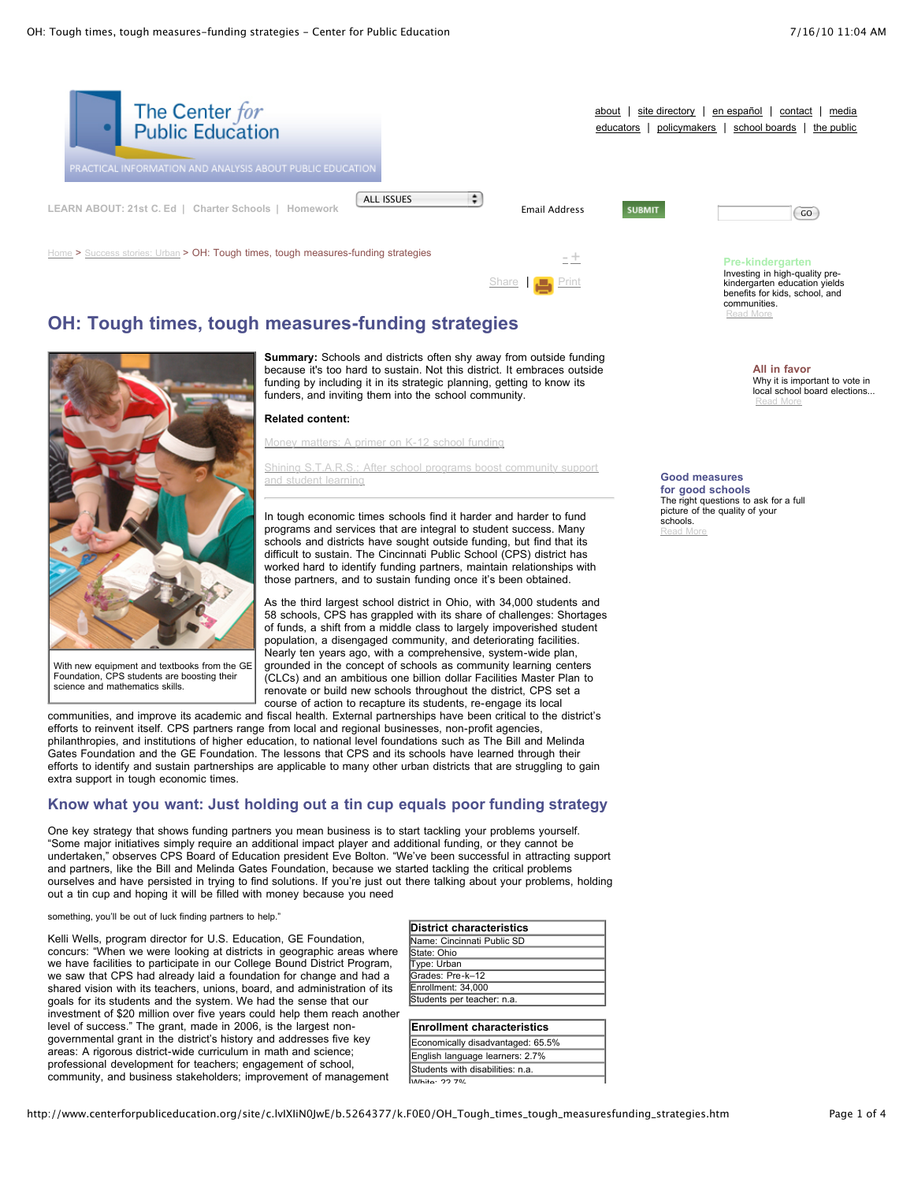

[Share](javascript:void(0)) | [Print](javascript:CallPrint()

# **OH: Tough times, tough measures-funding strategies**



With new equipment and textbooks from the GE Foundation. CPS students are boosting their science and mathematics skills.

**Summary:** Schools and districts often shy away from outside funding because it's too hard to sustain. Not this district. It embraces outside funding by including it in its strategic planning, getting to know its funders, and inviting them into the school community.

**Related content:**

Money [matters:](http://www.centerforpubliceducation.org/site/lookup.asp?c=lvIXIiN0JwE&b=5057665) A primer on K-12 school funding

Shining [S.T.A.R.S.:](http://www.centerforpubliceducation.org/site/lookup.asp?c=lvIXIiN0JwE&b=5057693) After school programs boost community support and student learning

In tough economic times schools find it harder and harder to fund programs and services that are integral to student success. Many schools and districts have sought outside funding, but find that its difficult to sustain. The Cincinnati Public School (CPS) district has worked hard to identify funding partners, maintain relationships with those partners, and to sustain funding once it's been obtained.

As the third largest school district in Ohio, with 34,000 students and 58 schools, CPS has grappled with its share of challenges: Shortages of funds, a shift from a middle class to largely impoverished student population, a disengaged community, and deteriorating facilities. Nearly ten years ago, with a comprehensive, system-wide plan, grounded in the concept of schools as community learning centers (CLCs) and an ambitious one billion dollar Facilities Master Plan to renovate or build new schools throughout the district, CPS set a course of action to recapture its students, re-engage its local

communities, and improve its academic and fiscal health. External partnerships have been critical to the district's efforts to reinvent itself. CPS partners range from local and regional businesses, non-profit agencies, philanthropies, and institutions of higher education, to national level foundations such as The Bill and Melinda Gates Foundation and the GE Foundation. The lessons that CPS and its schools have learned through their efforts to identify and sustain partnerships are applicable to many other urban districts that are struggling to gain extra support in tough economic times.

### **Know what you want: Just holding out a tin cup equals poor funding strategy**

One key strategy that shows funding partners you mean business is to start tackling your problems yourself. "Some major initiatives simply require an additional impact player and additional funding, or they cannot be undertaken," observes CPS Board of Education president Eve Bolton. "We've been successful in attracting support and partners, like the Bill and Melinda Gates Foundation, because we started tackling the critical problems ourselves and have persisted in trying to find solutions. If you're just out there talking about your problems, holding out a tin cup and hoping it will be filled with money because you need

something, you'll be out of luck finding partners to help."

Kelli Wells, program director for U.S. Education, GE Foundation, concurs: "When we were looking at districts in geographic areas where we have facilities to participate in our College Bound District Program, we saw that CPS had already laid a foundation for change and had a shared vision with its teachers, unions, board, and administration of its goals for its students and the system. We had the sense that our investment of \$20 million over five years could help them reach another level of success." The grant, made in 2006, is the largest nongovernmental grant in the district's history and addresses five key areas: A rigorous district-wide curriculum in math and science; professional development for teachers; engagement of school, community, and business stakeholders; improvement of management

| <b>District characteristics</b> |
|---------------------------------|
| Name: Cincinnati Public SD      |
| State: Ohio                     |
| Type: Urban                     |
| Grades: Pre-k-12                |
| Enrollment: 34.000              |
| Students per teacher: n.a.      |
|                                 |

**Enrollment characteristics** Economically disadvantaged: 65.5% English language learners: 2.7% Students with disabilities: n.a. Mhite: 22.7%

#### Investing in high-quality prekindergarten education yields benefits for kids, school, and communities. [Read](http://www.centerforpubliceducation.org/site/lookup.asp?c=lvIXIiN0JwE&b=5137859) More

**All in favor** Why it is important to vote in local school board elections... [Read](http://www.centerforpubliceducation.org/site/lookup.asp?c=lvIXIiN0JwE&b=5137871) More

**Good measures**

**for good schools** The right questions to ask for a full picture of the quality of your schools. [Read](http://www.centerforpubliceducation.org/site/lookup.asp?c=lvIXIiN0JwE&b=5137869) More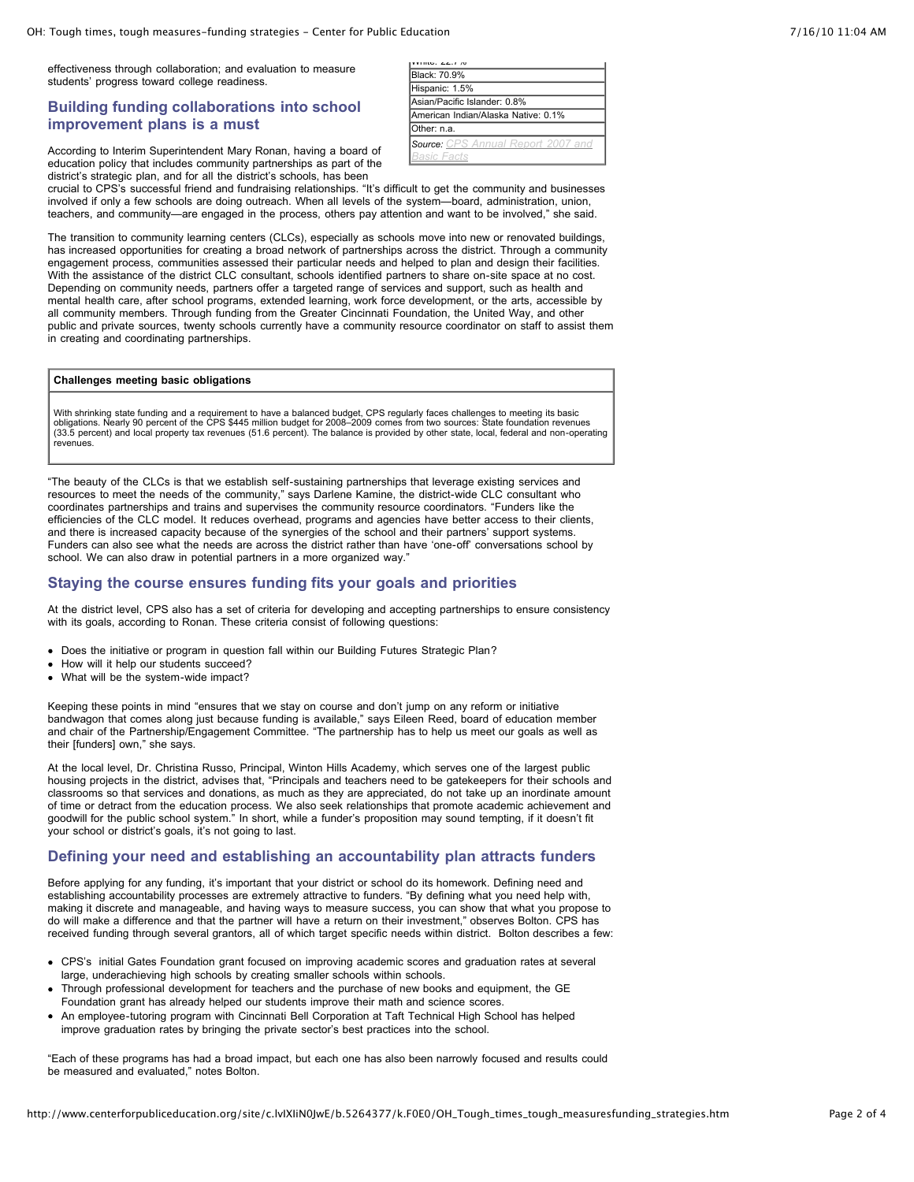effectiveness through collaboration; and evaluation to measure students' progress toward college readiness.

### **Building funding collaborations into school improvement plans is a must**

| 1111G, 22.170                             |
|-------------------------------------------|
| <b>Black: 70.9%</b>                       |
| Hispanic: 1.5%                            |
| Asian/Pacific Islander: 0.8%              |
| American Indian/Alaska Native: 0.1%       |
| IOther: n.a.                              |
| <b>Source:</b> CPS Annual Report 2007 and |
| Basic Facts                               |

According to Interim Superintendent Mary Ronan, having a board of education policy that includes community partnerships as part of the district's strategic plan, and for all the district's schools, has been

crucial to CPS's successful friend and fundraising relationships. "It's difficult to get the community and businesses involved if only a few schools are doing outreach. When all levels of the system—board, administration, union, teachers, and community—are engaged in the process, others pay attention and want to be involved," she said.

The transition to community learning centers (CLCs), especially as schools move into new or renovated buildings, has increased opportunities for creating a broad network of partnerships across the district. Through a community engagement process, communities assessed their particular needs and helped to plan and design their facilities. With the assistance of the district CLC consultant, schools identified partners to share on-site space at no cost. Depending on community needs, partners offer a targeted range of services and support, such as health and mental health care, after school programs, extended learning, work force development, or the arts, accessible by all community members. Through funding from the Greater Cincinnati Foundation, the United Way, and other public and private sources, twenty schools currently have a community resource coordinator on staff to assist them in creating and coordinating partnerships.

#### **Challenges meeting basic obligations**

With shrinking state funding and a requirement to have a balanced budget, CPS regularly faces challenges to meeting its basic<br>obligations. Nearly 90 percent of the CPS \$445 million budget for 2008–2009 comes from two sourc revenues.

"The beauty of the CLCs is that we establish self-sustaining partnerships that leverage existing services and resources to meet the needs of the community," says Darlene Kamine, the district-wide CLC consultant who coordinates partnerships and trains and supervises the community resource coordinators. "Funders like the efficiencies of the CLC model. It reduces overhead, programs and agencies have better access to their clients, and there is increased capacity because of the synergies of the school and their partners' support systems. Funders can also see what the needs are across the district rather than have 'one-off' conversations school by school. We can also draw in potential partners in a more organized way."

#### **Staying the course ensures funding fits your goals and priorities**

At the district level, CPS also has a set of criteria for developing and accepting partnerships to ensure consistency with its goals, according to Ronan. These criteria consist of following questions:

- Does the initiative or program in question fall within our Building Futures Strategic Plan?
- How will it help our students succeed?
- What will be the system-wide impact?

Keeping these points in mind "ensures that we stay on course and don't jump on any reform or initiative bandwagon that comes along just because funding is available," says Eileen Reed, board of education member and chair of the Partnership/Engagement Committee. "The partnership has to help us meet our goals as well as their [funders] own," she says.

At the local level, Dr. Christina Russo, Principal, Winton Hills Academy, which serves one of the largest public housing projects in the district, advises that, "Principals and teachers need to be gatekeepers for their schools and classrooms so that services and donations, as much as they are appreciated, do not take up an inordinate amount of time or detract from the education process. We also seek relationships that promote academic achievement and goodwill for the public school system." In short, while a funder's proposition may sound tempting, if it doesn't fit your school or district's goals, it's not going to last.

#### **Defining your need and establishing an accountability plan attracts funders**

Before applying for any funding, it's important that your district or school do its homework. Defining need and establishing accountability processes are extremely attractive to funders. "By defining what you need help with, making it discrete and manageable, and having ways to measure success, you can show that what you propose to do will make a difference and that the partner will have a return on their investment," observes Bolton. CPS has received funding through several grantors, all of which target specific needs within district. Bolton describes a few:

- CPS's initial Gates Foundation grant focused on improving academic scores and graduation rates at several large, underachieving high schools by creating smaller schools within schools.
- Through professional development for teachers and the purchase of new books and equipment, the GE Foundation grant has already helped our students improve their math and science scores.
- An employee-tutoring program with Cincinnati Bell Corporation at Taft Technical High School has helped improve graduation rates by bringing the private sector's best practices into the school.

"Each of these programs has had a broad impact, but each one has also been narrowly focused and results could be measured and evaluated," notes Bolton.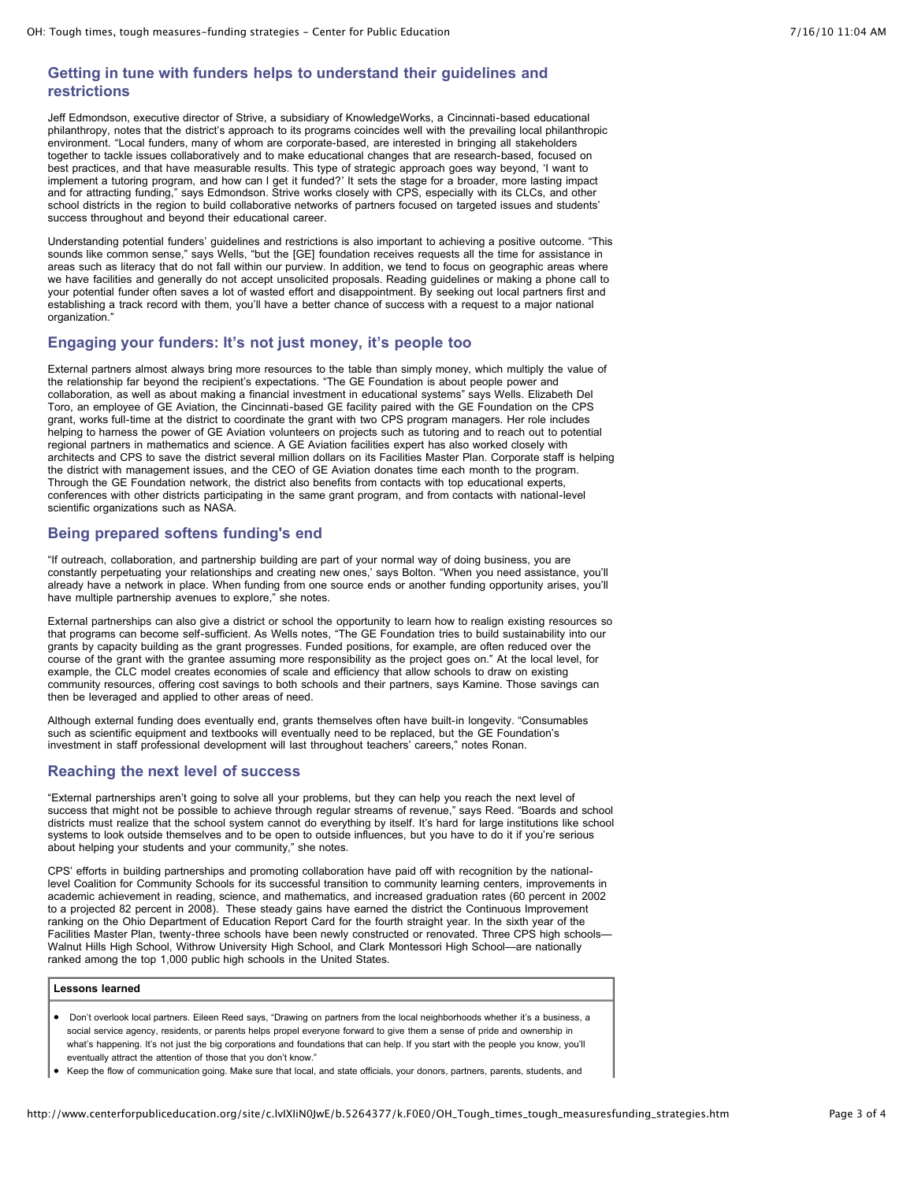## **Getting in tune with funders helps to understand their guidelines and restrictions**

Jeff Edmondson, executive director of Strive, a subsidiary of KnowledgeWorks, a Cincinnati-based educational philanthropy, notes that the district's approach to its programs coincides well with the prevailing local philanthropic environment. "Local funders, many of whom are corporate-based, are interested in bringing all stakeholders together to tackle issues collaboratively and to make educational changes that are research-based, focused on best practices, and that have measurable results. This type of strategic approach goes way beyond, 'I want to implement a tutoring program, and how can I get it funded?' It sets the stage for a broader, more lasting impact and for attracting funding," says Edmondson. Strive works closely with CPS, especially with its CLCs, and other school districts in the region to build collaborative networks of partners focused on targeted issues and students' success throughout and beyond their educational career.

Understanding potential funders' guidelines and restrictions is also important to achieving a positive outcome. "This sounds like common sense," says Wells, "but the [GE] foundation receives requests all the time for assistance in areas such as literacy that do not fall within our purview. In addition, we tend to focus on geographic areas where we have facilities and generally do not accept unsolicited proposals. Reading guidelines or making a phone call to your potential funder often saves a lot of wasted effort and disappointment. By seeking out local partners first and establishing a track record with them, you'll have a better chance of success with a request to a major national organization.

### **Engaging your funders: It's not just money, it's people too**

External partners almost always bring more resources to the table than simply money, which multiply the value of the relationship far beyond the recipient's expectations. "The GE Foundation is about people power and collaboration, as well as about making a financial investment in educational systems" says Wells. Elizabeth Del Toro, an employee of GE Aviation, the Cincinnati-based GE facility paired with the GE Foundation on the CPS grant, works full-time at the district to coordinate the grant with two CPS program managers. Her role includes helping to harness the power of GE Aviation volunteers on projects such as tutoring and to reach out to potential regional partners in mathematics and science. A GE Aviation facilities expert has also worked closely with architects and CPS to save the district several million dollars on its Facilities Master Plan. Corporate staff is helping the district with management issues, and the CEO of GE Aviation donates time each month to the program. Through the GE Foundation network, the district also benefits from contacts with top educational experts, conferences with other districts participating in the same grant program, and from contacts with national-level scientific organizations such as NASA.

### **Being prepared softens funding's end**

"If outreach, collaboration, and partnership building are part of your normal way of doing business, you are constantly perpetuating your relationships and creating new ones,' says Bolton. "When you need assistance, you'll already have a network in place. When funding from one source ends or another funding opportunity arises, you'll have multiple partnership avenues to explore," she notes.

External partnerships can also give a district or school the opportunity to learn how to realign existing resources so that programs can become self-sufficient. As Wells notes, "The GE Foundation tries to build sustainability into our grants by capacity building as the grant progresses. Funded positions, for example, are often reduced over the course of the grant with the grantee assuming more responsibility as the project goes on." At the local level, for example, the CLC model creates economies of scale and efficiency that allow schools to draw on existing community resources, offering cost savings to both schools and their partners, says Kamine. Those savings can then be leveraged and applied to other areas of need.

Although external funding does eventually end, grants themselves often have built-in longevity. "Consumables such as scientific equipment and textbooks will eventually need to be replaced, but the GE Foundation's investment in staff professional development will last throughout teachers' careers," notes Ronan.

### **Reaching the next level of success**

"External partnerships aren't going to solve all your problems, but they can help you reach the next level of success that might not be possible to achieve through regular streams of revenue," says Reed. "Boards and school districts must realize that the school system cannot do everything by itself. It's hard for large institutions like school systems to look outside themselves and to be open to outside influences, but you have to do it if you're serious about helping your students and your community," she notes.

CPS' efforts in building partnerships and promoting collaboration have paid off with recognition by the nationallevel Coalition for Community Schools for its successful transition to community learning centers, improvements in academic achievement in reading, science, and mathematics, and increased graduation rates (60 percent in 2002 to a projected 82 percent in 2008). These steady gains have earned the district the Continuous Improvement ranking on the Ohio Department of Education Report Card for the fourth straight year. In the sixth year of the Facilities Master Plan, twenty-three schools have been newly constructed or renovated. Three CPS high schools— Walnut Hills High School, Withrow University High School, and Clark Montessori High School—are nationally ranked among the top 1,000 public high schools in the United States.

#### **Lessons learned**

- Don't overlook local partners. Eileen Reed says, "Drawing on partners from the local neighborhoods whether it's a business, a social service agency, residents, or parents helps propel everyone forward to give them a sense of pride and ownership in what's happening. It's not just the big corporations and foundations that can help. If you start with the people you know, you'll eventually attract the attention of those that you don't know."
- Keep the flow of communication going. Make sure that local, and state officials, your donors, partners, parents, students, and